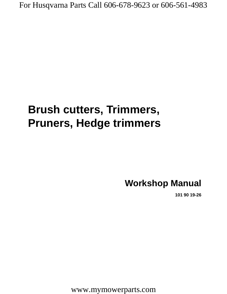# **Brush cutters, Trimmers, Pruners, Hedge trimmers**

# **Workshop Manual**

**101 90 19-26**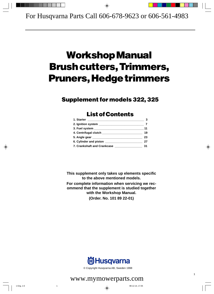# **Workshop Manual Brush cutters, Trimmers, Pruners, Hedge trimmers**

# **Supplement for models 322, 325**

# **List of Contents**

|                             | 11 |
|-----------------------------|----|
|                             | 19 |
|                             | 23 |
|                             | 27 |
| 7. Crankshaft and Crankcase | 31 |

**This supplement only takes up elements specific to the above mentioned models. For complete information when servicing we recommend that the supplement is studied together with the Workshop Manual. (Order. No. 101 89 22-01)**



© Copyright Husqvarna AB, Sweden 1998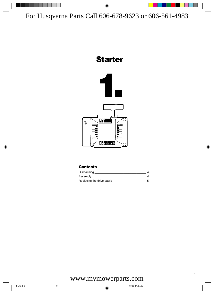# **Starter**



## **Contents**

| Dismantling               |  |
|---------------------------|--|
| Assembly                  |  |
| Replacing the drive pawls |  |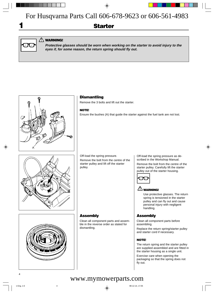# **Starter**



**1**

## **WARNING! !**

**Protective glasses should be worn when working on the starter to avoid injury to the eyes if, for some reason, the return spring should fly out.**



## **Dismantling**

Remove the 3 bolts and lift out the starter.

### **NOTE!**

Ensure the bushes (A) that guide the starter against the fuel tank are not lost.



Off-load the spring pressure.

**Assembly**

dismantling.

Remove the bolt from the centre of the starter pulley and lift off the starter pulley.

Clean all component parts and assemble in the reverse order as stated for

Off-load the spring pressure as described in the Workshop Manual. Remove the bolt from the centre of the starter pulley. Carefully lift the starter pulley out of the starter housing.



## **! WARNING!**

Use protective glasses. The return spring is tensioned in the starter pulley and can fly out and cause personal injury with negligent handling.

## **Assembly**

Clean all component parts before assembling.

Replace the return spring/starter pulley and starter cord if necessary.

### **NOTE!**

The return spring and the starter pulley are supplied assembled and are fitted in the starter housing as a single unit.

Exercise care when opening the packaging so that the spring does not fly out.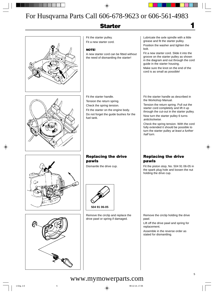# **Starter**

Fit the starter pulley. Fit a new starter cord.

### **NOTE!**

A new starter cord can be fitted without the need of dismantling the starter!

Fit the starter handle. Tension the return spring. Check the spring tension. Fit the starter on the engine body. Do not forget the guide bushes for the fuel tank.

Lubricate the axle spindle with a little grease and fit the starter pulley. Position the washer and tighten the bolt.

**1**

Fit a new starter cord. Slide it into the groove on the starter pulley as shown in the diagram and out through the cord guide in the starter housing.

Make sure the knot on the end of the cord is as small as possible!

Fit the starter handle as described in the Workshop Manual.

Tension the return spring. Pull out the starter cord completely and lift it up through the cut-out in the starter pulley.

Now turn the starter pulley 6 turns anticlockwise.

Check the spring tension. With the cord fully extended it should be possible to turn the starter pulley at least a further half turn.





## **Replacing the drive pawls**

Dismantle the drive cup.



Remove the circlip and replace the drive pawl or spring if damaged.

## **Replacing the drive pawls**

Fit the piston stop, No. 504 91 06-05 in the spark plug hole and loosen the nut holding the drive cup.

Remove the circlip holding the drive pawl.

Lift off the drive pawl and spring for replacement.

Assemble in the reverse order as stated for dismantling.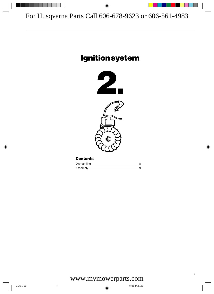# **Ignition system**



## **Contents**

| Dismantling |  |
|-------------|--|
| Assembly    |  |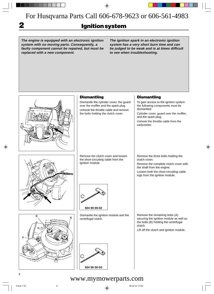**2**

# **Ignition system**

**The engine is equipped with an electronic ignition system with no moving parts. Consequently, a faulty component cannot be repaired, but must be replaced with a new component.**

**The ignition spark in an electronic ignition system has a very short burn time and can be judged to be weak and is at times difficult to see when troubleshooting.**

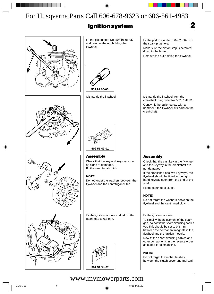# **Ignition system**



Fit the piston stop No. 504 91 06-05 and remove the nut holding the flywheel.



Dismantle the flywheel.





**Assembly**

Check that the key and keyway show no signs of damaged. Fit the centrifugal clutch.

## **NOTE!**

Do not forget the washers between the flywheel and the centrifugal clutch.

Fit the ignition module and adjust the spark gap to 0.3 mm.



Fit the piston stop No. 504 91 06-05 in the spark plug hole.

Make sure the piston stop is screwed down to the bottom.

Remove the nut holding the flywheel.

Dismantle the flywheel from the crankshaft using puller No. 502 51 49-01. Gently hit the puller screw with a hammer if the flywheel sits hard on the crankshaft.

## **Assembly**

Check that the cast key in the flywheel and the keyway in the crankshaft are not damaged.

If the crankshaft has two keyways, the flywheel should be fitted to the righthand keyway seen from the end of the shaft.

Fit the centrifugal clutch.

## **NOTE!**

Do not forget the washers between the flywheel and the centrifugal clutch.

Fit the ignition module.

To simplify the adjustment of the spark gap, do not fit the short-circuiting cables yet. This should be set to 0.3 mm between the permanent magnets in the flywheel and the ignition module.

Now fit the short-circuiting cables and other components in the reverse order as stated for dismantling.

## **NOTE!**

Do not forget the rubber bushes between the clutch cover and fuel tank.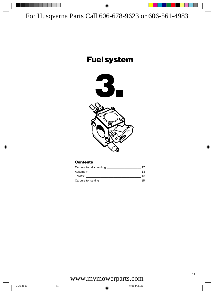# **Fuel system**





## **Contents**

| Carburettor, dismantling _ | 12 |
|----------------------------|----|
| Assembly                   | 13 |
| Throttle                   | 13 |
| Carburettor setting        | 15 |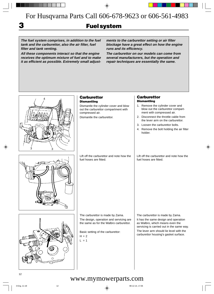**3**

# **Fuel system**

**The fuel system comprises, in addition to the fuel tank and the carburettor, also the air filter, fuel filter and tank venting.**

**All these components interact so that the engine receives the optimum mixture of fuel and to make it as efficient as possible. Extremely small adjust-** **ments to the carburettor setting or air filter blockage have a great effect on how the engine runs and its efficiency.**

**The carburettor on our models can come from several manufacturers, but the operation and repair techniques are essentially the same.**

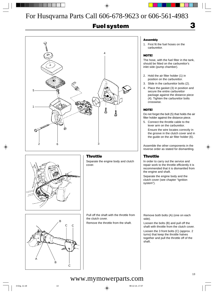# **Fuel system**





## **Throttle**

Separate the engine body and clutch cover.

A B B C C C

Pull off the shaft with the throttle from the clutch cover.

Remove the throttle from the shaft.

### **Assembly**

1. First fit the fuel hoses on the carburettor.

#### **NOTE!**

The hose, with the fuel filter in the tank, should be fitted on the carburettor's inlet side (pump chamber).

**3**

- 2. Hold the air filter holder (1) in position on the carburettor.
- 3. Slide in the carburettor bolts (2).
- 4. Place the gasket (3) in position and secure the entire carburettor package against the distance piece (4). Tighten the carburettor bolts crosswise.

### **NOTE!**

Do not forget the bolt (5) that holds the air filter holder against the distance piece.

- 5. Connect the throttle cable to the lever arm on the carburettor.
	- Ensure the wire locates correctly in the groove in the clutch cover and in the guide on the air filter holder (6).

Assemble the other components in the reverse order as stated for dismantling.

## **Throttle**

In order to carry out the service and repair work to the throttle efficiently it is recommended that it is dismantled from the engine and shaft.

Separate the engine body and the clutch cover (see chapter "Ignition system").

Remove both bolts (A) (one on each side).

Loosen the bolts (B) and pull off the shaft with throttle from the clutch cover. Loosen the 3 front bolts (C) (approx. 2 turns) that keep the throttle halves together and pull the throttle off of the shaft.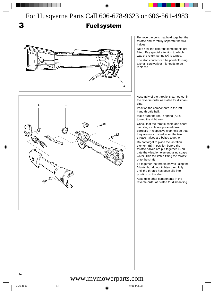**3**

# **Fuel system**



Remove the bolts that hold together the throttle and carefully separate the two halves.

Note how the different components are fitted. Pay special attention to which way the return spring (A) is turned.

The stop contact can be pried off using a small screwdriver if it needs to be replaced.

Assembly of the throttle is carried out in the reverse order as stated for dismantling.

Position the components in the lefthand throttle half.

Make sure the return spring (A) is turned the right way.

Check that the throttle cable and shortcircuiting cable are pressed down correctly in respective channels so that they are not crushed when the two throttle halves are bolted together.

Do not forget to place the vibration element (B) in position before the throttle halves are put together. Lubricate the vibration element using soapy water. This facilitates fitting the throttle onto the shaft.

Fit together the throttle halves using the 5 bolts, but do not tighten them fully until the throttle has been slid into position on the shaft.

Assemble other components in the reverse order as stated for dismantling.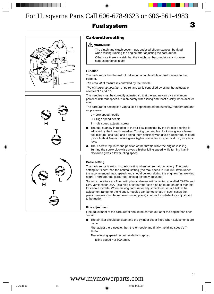# **Fuel system**







## **Carburettor setting**

## **! WARNING!**

The clutch and clutch cover must, under all circumstances, be fitted when testing running the engine after adjusting the carburettor. Otherwise there is a risk that the clutch can become loose and cause serious personal injury.

### **Function**

The carburettor has the task of delivering a combustible air/fuel mixture to the cylinder.

The amount of mixture is controlled by the throttle.

The mixture's composition of petrol and air is controlled by using the adjustable needles "H" and "L".

The needles must be correctly adjusted so that the engine can give maximum power at different speeds, run smoothly when idling and react quickly when accelerating.

The carburettor setting can vary a little depending on the humidity, temperature and air pressure.

 $L =$  Low speed needle

H = High speed needle

- $T =$  Idle speed adjuster screw
- The fuel quantity in relation to the air flow permitted by the throttle opening is adjusted by the L and H needles. Turning the needles clockwise gives a leaner fuel mixture (less fuel) and turning them anticlockwise gives a richer fuel mixture (more fuel). A leaner mixture gives higher revs while a richer mixture gives less revs.
- The T-screw regulates the position of the throttle while the engine is idling. Turning the screw clockwise gives a higher idling speed while turning it anticlockwise gives a lower idling speed.

### **Basic setting**

The carburettor is set to its basic setting when test run at the factory. The basic setting is "richer" than the optimal setting (the max speed is 600–800 r/min under the recommended max. speed) and should be kept during the engine's first working hours. Thereafter the carburettor should be finely adjusted.

Some carburettors are fitted with plastic sleeves with a limiter, so-called CARB- and EPA-versions for USA. This type of carburettor can also be found on other markets for certain models. When making carburettor adjustments as set out below the adjustment range for the H and L needles can be too small. In such cases the plastic sleeves must be removed (using pliers) in order for satisfactory adjustment to be made.

### **Fine adjustment**

Fine adjustment of the carburettor should be carried out after the engine has been "run-in".

● The air filter should be clean and the cylinder cover fitted when adjustments are made.

First adjust the L needle, then the H needle and finally the idling speed's Tscrew.

The following speed recommendations apply:

Idling speed  $= 2500$  r/min.

**3**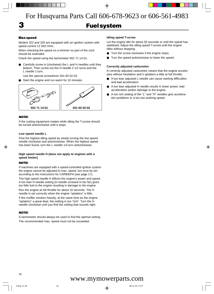# **Fuel system**

#### **Max speed**

**3**

Models 322 and 325 are equipped with an ignition system with speed control 12 500 r/min.

When checking the speed on a trimmer no part of the cord should be extended.

Check the speed using the tachometer 502 71 14-01.

Carefully screw in (clockwise) the L and H needles until they bottom. Then screw out the H needle 2 1/2 turns and the L needle 1 turn.

Use the special screwdriver 501 60 02-02.

Start the engine and run warm for 10 minutes.



#### **NOTE!**

If the cutting equipment rotates while idling the T-screw should be turned anticlockwise until it stops.

#### **Low speed needle L**

Find the highest idling speed by slowly turning the low speed needle clockwise and anticlockwise. When the highest speed has been found, turn the L needle 1/4 turn anticlockwise.

#### **High speed needle H (does not apply to engines with a speed limiter)**

#### **NOTE!**

If machines are equipped with a speed-controlled ignition system the engine cannot be adjusted to max. speed, but must be set according to the instructions for CARB/EPA (see page 17).

The high speed needle H affects the engine's power and speed. A too lean H needle setting (H needle screwed in too far) gives too little fuel to the engine resulting in damage to the engine.

Run the engine at full throttle for about 10 seconds. The H needle is set correctly when the engine "splatters" a little.

If the muffler smokes heavily, at the same time as the engine "splatters" a great deal, the setting is too "rich". Turn the H needle clockwise until you find the setting that sounds right.

#### **NOTE!**

A tachometer should always be used to find the optimal setting. The recommended max. speed must not be exceeded.

#### **Idling speed T-screw**

Let the engine idle for about 30 seconds or until the speed has stabilised. Adjust the idling speed T-screw until the engine idles without stopping.

- Turn the screw clockwise if the engine stops.
- Turn the speed anticlockwise to lower the speed.

#### **Correctly adjusted carburettor**

A correctly adjusted carburettor means that the engine accelerates without hesitation and it splatters a little at full throttle.

- A too lean adiusted L needle can cause starting difficulties and bad acceleration.
- A too lean adjusted H needle results in lower power, bad acceleration and/or damage to the engine.
- A too rich setting of the "L" and "H" needles give acceleration problems or a too low working speed.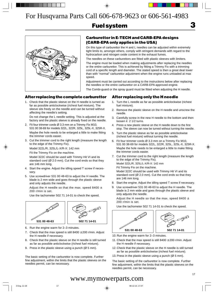# **Fuel system**



## **Carburettor in E-TECH and CARB-EPA designs (CARB-EPA only applies in the USA)**

On this type of carburettor the H and L needles can be adjusted within extremely tight limits to, amongst others, comply with stringent demands with regard to the hydrocarbon and nitrogen oxide content in the exhaust fumes.

The needles on these carburettors are fitted with plastic sleeves with limiters.

The engine must be loaded when making adjustments after replacing the needles or the entire carburettor. This is achieved by fitting a Trimmy Fix with a trimming cord of a specific length and diameter. The stated speed is then a great deal lower than with "normal" carburettor adjustment when the engine runs unloaded at max speed.

Adjustment must be carried out according to the instructions below after replacing the needles or the entire carburettor on a CARB-EPA approved engine.

The Combi-guard or the spray guard must be fitted when adjusting the H needle.

## **After replacing the complete carburettor**

1. Check that the plastic sleeve on the H needle is turned as far as possible anticlockwise (richest fuel mixture). The sleeve sits freely on the needle and can be turned without affecting the needle's setting.

Do not change the L needle setting. This is adjusted at the factory and the plastic sleeve is already fixed on the needle.

- 2. Fit four trimmer cords Ø 3.3 mm on a Trimmy Fix M10, 531 00 38-69 for models 322L, 322R, 325L, 325L-X, 325R-X. Maybe the hole needs to be enlarged a little to make fitting the trimmer cords easier.
- 3. Cut the trimmer cord to the right length (measure the length to the edge of the Trimmy Fix).

Model 322L/R, 325L/L-X/R-X: 142 mm

Fit the Trimmy Fix on the machine.

Model 322C should be used with Trimmy Hit VI and its standard cord  $(Ø 2.0$  mm). Cut the cord ends so that they are 146 mm long.

- 4. Start the engine. Adjust the idling speed T screw if necessary.
- 5. Use screwdriver 531 00 48-63 to adjust the H needle. The blade is 2 mm wide and goes through the plastic sleeve and only adjusts the needle.

Adjust the H needle so that the max. speed 8400  $\pm$ 200 r/min is set.

Use the tachometer 502 71 14-01 to check the speed.

AF. **531 00 48-63 502 71 14-01**

- 6. Run the engine warm for 2–3 minutes.
- 7. Check that the max speed is still  $8400 \pm 200$  r/min. Adjust the H needle if necessary.
- 8. Check that the plastic sleeve on the H needle is still turned as far as possible anticlockwise (richest fuel mixture).
- 9. Press in the plastic sleeve using a punch (Ø 5 mm).

The basic setting of the carburettor is now complete. Further fine adjustment, within the limits that the plastic sleeves on the needles permit, can be necessary.

## **After replacing only the H needle**

- 1. Turn the L needle as far as possible anticlockwise (richest fuel mixture).
- 2. Remove the plastic sleeve on the H needle and unscrew the needle.
- 3. Carefully screw in the new H needle to the bottom and then loosen it 2 1/2 turns.
- 4. Press a new plastic sleeve on the H needle down to the first stop. The sleeve can now be turned without turning the needle.
- 5. Turn the plastic sleeve as far as possible anticlockwise (richest fuel mixture) without turning the needle.
- 6. Fit four trimmer cords Ø 3.3 mm on a Trimmy Fix M10, 531 00 38-69 for models 322L, 322R, 325L, 325L-X, 325R-X. Maybe the hole needs to be enlarged a little to make fitting the trimmer cords easier.
- 7. Cut the trimmer cord to the right length (measure the length to the edge of the Trimmy Fix). Model 322L/R, 325L/L-X/R-X: 142 mm Fit Trimmy Fix on the machine. Model 322C should be used with Trimmy Hit VI and its standard cord (Ø 2.0 mm). Cut the cord ends so that they are 146 mm long.
- 8. Start the engine. Adjust the idling speed T screw if necessary.
- 9. Use screwdriver 531 00 48-63 to adjust the H needle. The blade is 2 mm wide and goes through the plastic sleeve and only adjusts the needle.

Adjust the H needle so that the max. speed 8400  $\pm$ 200 r/min is set.

Use the tachometer 502 71 14-01 to check the speed.





- 10. Run the engine warm for 2–3 minutes.
- 11. Check that the max speed is still  $8400 \pm 200$  r/min. Adjust the H needle if necessary.
- 12. Check that the plastic sleeve on the H needle is still turned as far as possible anticlockwise (richest fuel mixture).
- 13. Press in the plastic sleeve using a punch ( $\varnothing$  5 mm).

The basic setting of the carburettor is now complete. Further fine adjustment, within the limits that the plastic sleeves on the needles permit, can be necessary.

# www.mymowerparts.com

**3**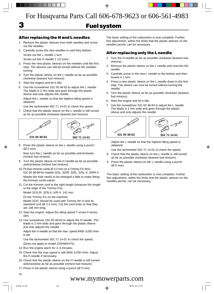# **Fuel system**

## **After replacing the H and L needles**

- 1. Remove the plastic sleeves from both needles and screw out the needles.
- 2. Carefully screw the new needles in until they bottom. Screw out the L needle 1 turn.

Screw out the H needle 2 1/2 turns.

- 3. Press the new plastic sleeves on the needles until the first stop. The sleeves can still be turned without the needles turning.
- 4. Turn the plastic sleeve on the L needle as far as possible clockwise (leanest fuel mixture).
- 5. Start the engine and let it idle.

**3**

6. Use the screwdriver 531 00 48-63 to adjust the L needle. The blade is 2 mm wide and goes through the plastic sleeve and only adjusts the needle.

Adjust the L needle so that the highest idling speed is obtained.

Use the tachometer 502 71 14-01 to check the speed.

7. Check that the plastic sleeve on the L needle is still turned as far as possible clockwise (leanest fuel mixture).



8. Press the plastic sleeve on the L needle using a punch (Ø 5 mm).

Now turn the L needle as far as possible anticlockwise (richest fuel mixture).

- 9. Turn the plastic sleeve on the H needle as far as possible anticlockwise (richest fuel mixture).
- 10. Fit four trimmer cords Ø 3.3 mm on a Trimmy Fix M10, 531 00 38-69 for models 322L, 322R, 325L, 325L-X, 325R-X. Maybe the hole needs to be enlarged a little to make fitting the trimmer cords easier.
- 11. Cut the trimmer cord to the right length (measure the length to the edge of the Trimmy Fix).

Model 322L/R, 325L/L-X/R-X: 142 mm

Fit the Trimmy Fix on the machine.

Model 322C should be used with Trimmy Hit VI and its standard cord  $(Ø 2.0$  mm). Cut the cord ends so that they are 146 mm long.

- 12. Start the engine. Adjust the idling speed T screw if necessary.
- 13. Use screwdriver 531 00 48-63 to adjust the H needle. The blade is 2 mm wide and goes through the plastic sleeve and only adjusts the needle.

Adjust the H needle so that the max. speed  $8400 \pm 200$  r/min is set.

Use the tachometer 502 71 14-01 to check the speed.

(Does not apply to model 225H60/H75).

- 14. Run the engine warm for 2–3 minutes.
- 15. Check that the max speed is still  $8400 \pm 200$  r/min. Adjust the H needle if necessary.
- 16. Check that the plastic sleeve on the H needle is still turned anticlockwise as far as possible (richest fuel mixture).
- 17. Press in the plastic sleeve using a punch ( $\varnothing$  5 mm).

The basic setting of the carburettor is now complete. Further fine adjustment, within the limits that the plastic sleeves on the needles permit, can be necessary.

## **After replacing only the L needle**

- 1. Turn the H needle as far as possible clockwise (leanest fuel mixture).
- 2. Remove the plastic sleeve on the L needle and unscrew the needle.
- 3. Carefully screw in the new L needle to the bottom and then loosen it 1 turn.
- 4. Press a new plastic sleeve on the L needle down to the first stop. The sleeve can now be turned without turning the needle.
- 5. Turn the plastic sleeve as far as possible clockwise (leanest fuel mixture).
- 6. Start the engine and let it idle.
- 7. Use the screwdriver 531 00 48-63 to adjust the L needle. The blade is 2 mm wide and goes through the plastic sleeve and only adjusts the needle.



Adjust the L needle so that the highest idling speed is obtained.

Use the tachometer 502 71 14-01 to check the speed.

- 8. Check that the plastic sleeve on the L needle is still turned as far as possible clockwise (leanest fuel mixture).
- 9. Press the plastic sleeve on the L needle using a punch (Ø 5 mm).

The basic setting of the carburettor is now complete. Further fine adjustment, within the limits that the plastic sleeves on the needles permit, can be necessary.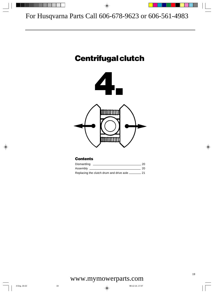# **Centrifugal clutch**



## **Contents**

| Dismantling                              | 20. |
|------------------------------------------|-----|
| Assembly                                 | 20. |
| Replacing the clutch drum and drive axle |     |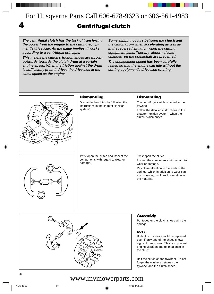# **4 Centrifugal clutch**

**The centrifugal clutch has the task of transferring the power from the engine to the cutting equipment's drive axle. As the name implies, it works according to a centrifugal principle.**

**This means the clutch's friction shoes are thrown outwards towards the clutch drum at a certain engine speed. When the friction against the drum is sufficiently great it drives the drive axle at the same speed as the engine.**

**Some slipping occurs between the clutch and the clutch drum when accelerating as well as in the reversed situation when the cutting equipment jams. Thereby abnormal load changes on the crankshaft are prevented.**

**The engagement speed has been carefully tested so that the engine can idle without the cutting equipment's drive axle rotating.**



## **Dismantling**

Dismantle the clutch by following the instructions in the chapter "Ignition system".

## **Dismantling**

The centrifugal clutch is bolted to the flywheel.

Follow the detailed instructions in the chapter "Ignition system" when the clutch is dismantled.



Twist open the clutch and inspect the components with regard to wear or damage.

Twist open the clutch.

Inspect the components with regard to wear or damage.

Pay close attention to the ends of the springs, which in addition to wear can also show signs of crack formation in the material.



## **Assembly**

Put together the clutch shoes with the springs.

### **NOTE!**

Both clutch shoes should be replaced even if only one of the shoes shows signs of heavy wear. This is to prevent engine vibration due to imbalance in the clutch.

Bolt the clutch on the flywheel. Do not forget the washers between the flywheel and the clutch shoes.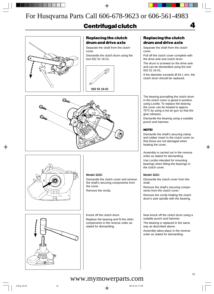# **Centrifugal clutch**



## **Replacing the clutch drum and drive axle**

Separate the shaft from the clutch cover.

Dismantle the clutch drum using the tool 502 52 16-01.



## **Replacing the clutch drum and drive axle**

Separate the shaft from the clutch cover.

Pull off the clutch cover complete with the drive axle and clutch drum.

**4**

The drum is screwed on the drive axle and can be dismantled using the tool 502 52 16-01.

If the diameter exceeds Ø 64.1 mm, the clutch drum should be replaced.

The bearing journalling the clutch drum in the clutch cover is glued in position using Loctite. To replace the bearing the cover can be heated to approx. 70°C by using a hot air gun so that the glue releases.

Dismantle the bearing using a suitable punch and hammer.

### **NOTE!**

Dismantle the shaft's securing clamp and rubber insert in the clutch cover so that these are not damaged when heating the cover.

Assembly is carried out in the reverse order as stated for dismantling.

Use Loctite intended for mounting bearings when fitting the bearings in the clutch cover.

#### **Model 322C**

Dismantle the clutch cover from the shaft.

Remove the shaft's securing components from the clutch cover.

Remove the circlip holding the clutch drum's axle spindle with the bearing.

Now knock off the clutch drum using a suitable punch and hammer.

The bearing is replaced in the same way as described above.

Assembly takes place in the reverse order as stated for dismantling.





### **Model 322C**

Dismantle the clutch cover and remove the shaft's securing components from the cover.

Remove the circlip.



Knock off the clutch drum.

Replace the bearing and fit the other components in the reverse order as stated for dismantling.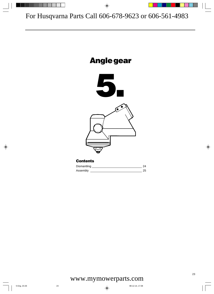

| Dismantling |     |
|-------------|-----|
| Assembly    | 25. |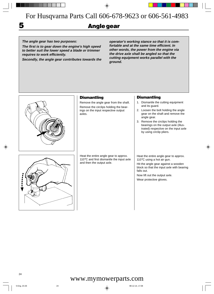# **5 Angle gear**

**The angle gear has two purposes:**

**The first is to gear down the engine's high speed to better suit the lower speed a blade or trimmer requires to work efficiently.**

**Secondly, the angle gear contributes towards the**

**operator's working stance so that it is comfortable and at the same time efficient. In other words, the power from the engine via the drive axle shall be angled so that the cutting equipment works parallel with the ground.**



## **Dismantling**

Remove the angle gear from the shaft. Remove the circlips holding the bearings on the input respective output axles.

#### Heat the entire angle gear to approx. 110°C and first dismantle the input axle and then the output axle.

## **Dismantling**

- 1. Dismantle the cutting equipment and its guard.
- 2. Loosen the bolt holding the angle gear on the shaft and remove the angle gear.
- 3. Remove the circlips holding the bearings on the output axle (illustrated) respective on the input axle by using circlip pliers.

Heat the entire angle gear to approx. 110°C using a hot air gun.

Hit the angle gear against a wooden block so that the input axle with bearing falls out.

Now lift out the output axle. Wear protective gloves.

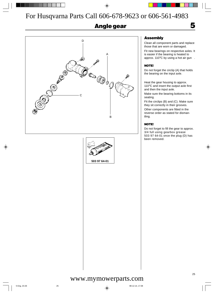# **Angle gear**





## **Assembly**

Clean all component parts and replace those that are worn or damaged.

**5**

Fit new bearings on respective axles. It is easier if the bearing is heated to approx. 110°C by using a hot air gun .

## **NOTE!**

Do not forget the circlip (A) that holds the bearing on the input axle.

Heat the gear housing to approx. 110°C and insert the output axle first and then the input axle.

Make sure the bearing bottoms in its seating.

Fit the circlips (B) and (C). Make sure they sit correctly in their grooves.

Other components are fitted in the reverse order as stated for dismantling.

### **NOTE!**

Do not forget to fill the gear to approx. 3/4 full using gearbox grease 503 97 64-01 once the plug (D) has been removed.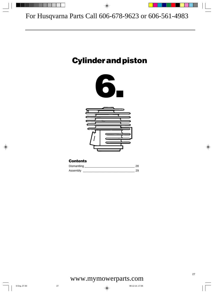# **Cylinder and piston**





## **Contents**

| Dismantling |  |
|-------------|--|
| Assembly    |  |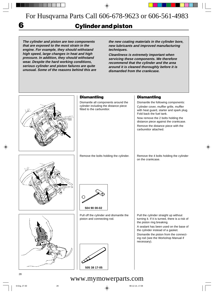**6**

# **Cylinder and piston**

**The cylinder and piston are two components that are exposed to the most strain in the engine. For example, they should withstand high speed, large changes in heat and high pressure. In addition, they should withstand wear. Despite the hard working conditions, serious cylinder and piston failures are quite unusual. Some of the reasons behind this are** **the new coating materials in the cylinder bore, new lubricants and improved manufacturing techniques.**

**Cleanliness is extremely important when servicing these components. We therefore recommend that the cylinder and the area around it is cleaned thoroughly before it is dismantled from the crankcase.**

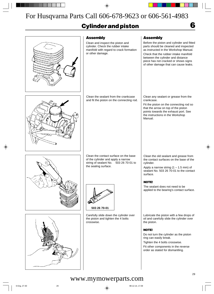# **Cylinder and piston**



**6**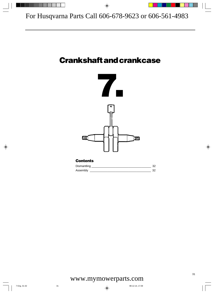# **Crankshaft and crankcase**



## **Contents** Dismantling 22 Assembly \_\_\_\_\_\_\_\_\_\_\_\_\_\_\_\_\_\_\_\_\_\_\_\_\_\_\_\_\_\_\_\_\_\_\_\_\_\_ 32